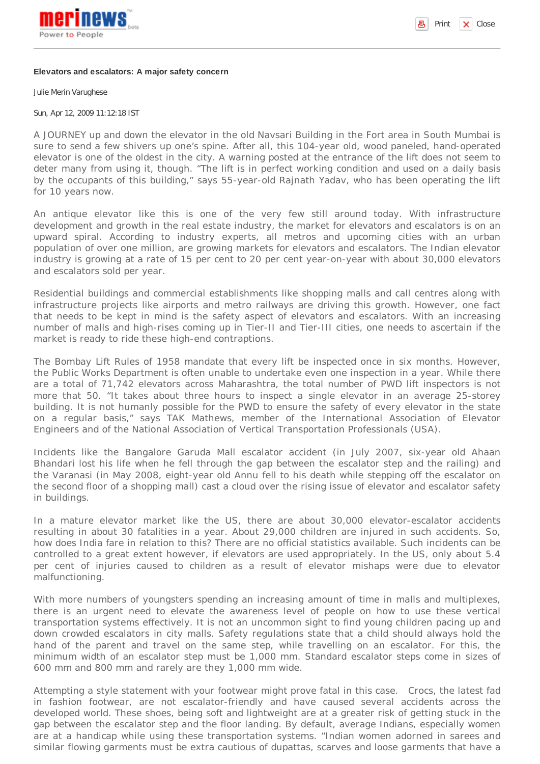

**B** Print  $\vert \mathbf{x} \vert$  Close

## **Elevators and escalators: A major safety concern**

Julie Merin Varughese

Sun, Apr 12, 2009 11:12:18 IST

A JOURNEY up and down the elevator in the old Navsari Building in the Fort area in South Mumbai is sure to send a few shivers up one's spine. After all, this 104-year old, wood paneled, hand-operated elevator is one of the oldest in the city. A warning posted at the entrance of the lift does not seem to deter many from using it, though. "The lift is in perfect working condition and used on a daily basis by the occupants of this building," says 55-year-old Rajnath Yadav, who has been operating the lift for 10 years now.

An antique elevator like this is one of the very few still around today. With infrastructure development and growth in the real estate industry, the market for elevators and escalators is on an upward spiral. According to industry experts, all metros and upcoming cities with an urban population of over one million, are growing markets for elevators and escalators. The Indian elevator industry is growing at a rate of 15 per cent to 20 per cent year-on-year with about 30,000 elevators and escalators sold per year.

Residential buildings and commercial establishments like shopping malls and call centres along with infrastructure projects like airports and metro railways are driving this growth. However, one fact that needs to be kept in mind is the safety aspect of elevators and escalators. With an increasing number of malls and high-rises coming up in Tier-II and Tier-III cities, one needs to ascertain if the market is ready to ride these high-end contraptions.

The Bombay Lift Rules of 1958 mandate that every lift be inspected once in six months. However, the Public Works Department is often unable to undertake even one inspection in a year. While there are a total of 71,742 elevators across Maharashtra, the total number of PWD lift inspectors is not more that 50. "It takes about three hours to inspect a single elevator in an average 25-storey building. It is not humanly possible for the PWD to ensure the safety of every elevator in the state on a regular basis," says TAK Mathews, member of the International Association of Elevator Engineers and of the National Association of Vertical Transportation Professionals (USA).

Incidents like the Bangalore Garuda Mall escalator accident (in July 2007, six-year old Ahaan Bhandari lost his life when he fell through the gap between the escalator step and the railing) and the Varanasi (in May 2008, eight-year old Annu fell to his death while stepping off the escalator on the second floor of a shopping mall) cast a cloud over the rising issue of elevator and escalator safety in buildings.

In a mature elevator market like the US, there are about 30,000 elevator-escalator accidents resulting in about 30 fatalities in a year. About 29,000 children are injured in such accidents. So, how does India fare in relation to this? There are no official statistics available. Such incidents can be controlled to a great extent however, if elevators are used appropriately. In the US, only about 5.4 per cent of injuries caused to children as a result of elevator mishaps were due to elevator malfunctioning.

With more numbers of youngsters spending an increasing amount of time in malls and multiplexes, there is an urgent need to elevate the awareness level of people on how to use these vertical transportation systems effectively. It is not an uncommon sight to find young children pacing up and down crowded escalators in city malls. Safety regulations state that a child should always hold the hand of the parent and travel on the same step, while travelling on an escalator. For this, the minimum width of an escalator step must be 1,000 mm. Standard escalator steps come in sizes of 600 mm and 800 mm and rarely are they 1,000 mm wide.

Attempting a style statement with your footwear might prove fatal in this case. Crocs, the latest fad in fashion footwear, are not escalator-friendly and have caused several accidents across the developed world. These shoes, being soft and lightweight are at a greater risk of getting stuck in the gap between the escalator step and the floor landing. By default, average Indians, especially women are at a handicap while using these transportation systems. "Indian women adorned in sarees and similar flowing garments must be extra cautious of dupattas, scarves and loose garments that have a